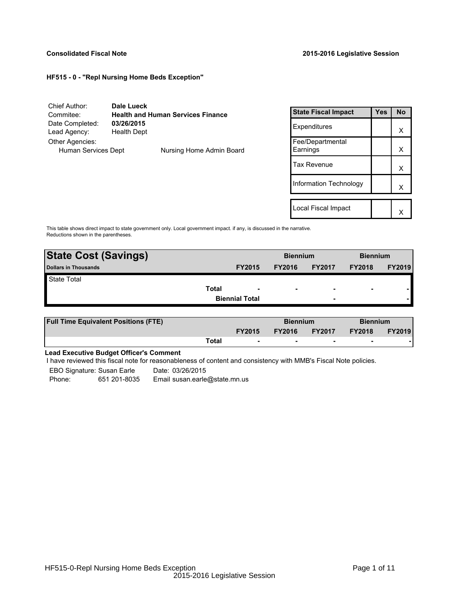## **Consolidated Fiscal Note 2015-2016 Legislative Session**

Local Fiscal Impact  $\begin{array}{|c|c|c|}\n\hline\n\end{array}$ 

## **HF515 - 0 - "Repl Nursing Home Beds Exception"**

| Chief Author:                                         | Dale Lueck                       |                            |                              |           |   |
|-------------------------------------------------------|----------------------------------|----------------------------|------------------------------|-----------|---|
| <b>Health and Human Services Finance</b><br>Commitee: |                                  | <b>State Fiscal Impact</b> | <b>Yes</b>                   | <b>No</b> |   |
| Date Completed:<br>Lead Agency:                       | 03/26/2015<br><b>Health Dept</b> |                            | Expenditures                 |           | X |
| Other Agencies:<br>Human Services Dept                |                                  | Nursing Home Admin Board   | Fee/Departmental<br>Earnings |           | X |
|                                                       |                                  |                            | <b>Tax Revenue</b>           |           | X |
|                                                       |                                  |                            | Information Technology       |           | X |
|                                                       |                                  |                            |                              |           |   |

This table shows direct impact to state government only. Local government impact. if any, is discussed in the narrative. Reductions shown in the parentheses.

| <b>State Cost (Savings)</b> |                          | <b>Biennium</b> |                          | <b>Biennium</b>          |               |
|-----------------------------|--------------------------|-----------------|--------------------------|--------------------------|---------------|
| <b>Dollars in Thousands</b> | <b>FY2015</b>            | <b>FY2016</b>   | <b>FY2017</b>            | <b>FY2018</b>            | <b>FY2019</b> |
| <b>State Total</b>          |                          |                 |                          |                          |               |
| Total                       | $\overline{\phantom{a}}$ |                 | $\overline{\phantom{0}}$ | $\overline{\phantom{a}}$ |               |
|                             | <b>Biennial Total</b>    |                 | $\overline{\phantom{0}}$ |                          |               |
|                             |                          |                 |                          |                          |               |

| <b>Full Time Equivalent Positions (FTE)</b> |       | <b>Biennium</b>          |               | <b>Biennium</b>          |               |               |
|---------------------------------------------|-------|--------------------------|---------------|--------------------------|---------------|---------------|
|                                             |       | <b>FY2015</b>            | <b>FY2016</b> | <b>FY2017</b>            | <b>FY2018</b> | <b>FY2019</b> |
|                                             | Total | $\overline{\phantom{0}}$ | $\sim$        | $\overline{\phantom{0}}$ |               |               |

## **Lead Executive Budget Officer's Comment**

I have reviewed this fiscal note for reasonableness of content and consistency with MMB's Fiscal Note policies.

EBO Signature: Susan Earle Date: 03/26/2015<br>Phone: 651 201-8035 Email susan.earle Phone: 651 201-8035 Email susan.earle@state.mn.us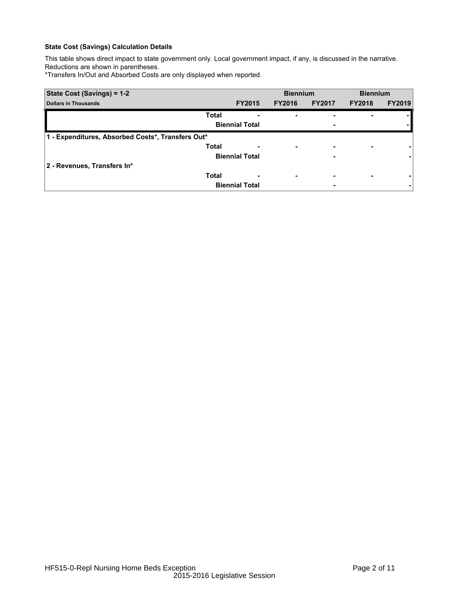This table shows direct impact to state government only. Local government impact, if any, is discussed in the narrative. Reductions are shown in parentheses.

\*Transfers In/Out and Absorbed Costs are only displayed when reported.

| State Cost (Savings) = 1-2                        |                       | <b>Biennium</b>          |               | <b>Biennium</b>          |               |
|---------------------------------------------------|-----------------------|--------------------------|---------------|--------------------------|---------------|
| <b>Dollars in Thousands</b>                       | <b>FY2015</b>         | <b>FY2016</b>            | <b>FY2017</b> | <b>FY2018</b>            | <b>FY2019</b> |
| <b>Total</b>                                      | ۰                     |                          |               | ۰                        |               |
|                                                   | <b>Biennial Total</b> |                          |               |                          |               |
| 1 - Expenditures, Absorbed Costs*, Transfers Out* |                       |                          |               |                          |               |
| <b>Total</b>                                      | -                     | ٠                        |               | $\overline{\phantom{0}}$ |               |
|                                                   | <b>Biennial Total</b> |                          |               |                          |               |
| 2 - Revenues, Transfers In*                       |                       |                          |               |                          |               |
| <b>Total</b>                                      | ٠                     | $\overline{\phantom{0}}$ |               | ۰                        |               |
|                                                   | <b>Biennial Total</b> |                          |               |                          |               |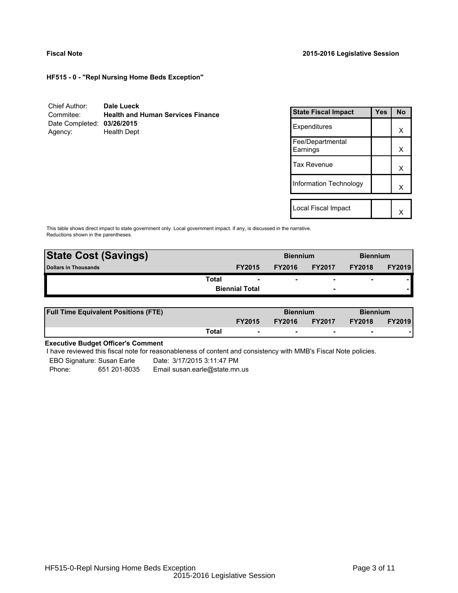**HF515 - 0 - "Repl Nursing Home Beds Exception"**

| Chief Author:              | Dale Lueck                               |
|----------------------------|------------------------------------------|
| Commitee:                  | <b>Health and Human Services Finance</b> |
| Date Completed: 03/26/2015 |                                          |
| Agency:                    | <b>Health Dept</b>                       |

| <b>State Fiscal Impact</b>   | Yes | N٥ |
|------------------------------|-----|----|
| Expenditures                 |     | x  |
| Fee/Departmental<br>Earnings |     | x  |
| <b>Tax Revenue</b>           |     | х  |
| Information Technology       |     | x  |
|                              |     |    |
| Local Fiscal Impact          |     |    |

This table shows direct impact to state government only. Local government impact. if any, is discussed in the narrative. Reductions shown in the parentheses.

| <b>State Cost (Savings)</b> |                       | <b>Biennium</b> |               | <b>Biennium</b>          |                |               |
|-----------------------------|-----------------------|-----------------|---------------|--------------------------|----------------|---------------|
| Dollars in Thousands        |                       | <b>FY2015</b>   | <b>FY2016</b> | <b>FY2017</b>            | <b>FY2018</b>  | <b>FY2019</b> |
|                             | Total                 |                 | ۰             | $\overline{\phantom{0}}$ | $\blacksquare$ |               |
|                             | <b>Biennial Total</b> |                 |               | $\overline{\phantom{0}}$ |                |               |

| <b>Full Time Equivalent Positions (FTE)</b> |       | <b>Biennium</b>          |               | <b>Biennium</b>          |               |               |
|---------------------------------------------|-------|--------------------------|---------------|--------------------------|---------------|---------------|
|                                             |       | <b>FY2015</b>            | <b>FY2016</b> | <b>FY2017</b>            | <b>FY2018</b> | <b>FY2019</b> |
|                                             | Total | $\overline{\phantom{a}}$ | $\sim$        | $\overline{\phantom{a}}$ | $\sim$        |               |

# **Executive Budget Officer's Comment**

-

I have reviewed this fiscal note for reasonableness of content and consistency with MMB's Fiscal Note policies.

EBO Signature: Susan Earle Date: 3/17/2015 3:11:47 PM Phone: 651 201-8035 Email susan.earle@state.mn.us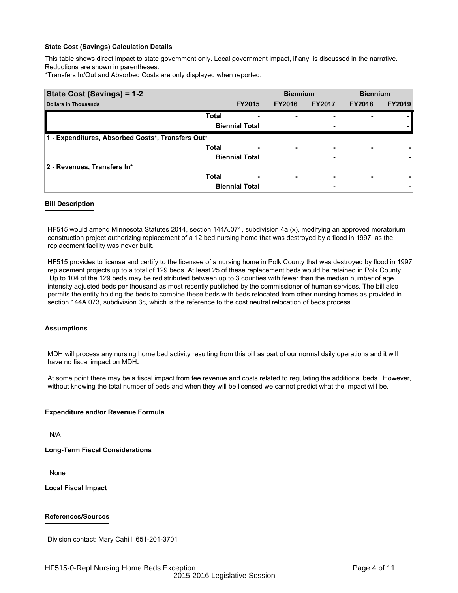This table shows direct impact to state government only. Local government impact, if any, is discussed in the narrative. Reductions are shown in parentheses.

\*Transfers In/Out and Absorbed Costs are only displayed when reported.

| State Cost (Savings) = 1-2                        |              | <b>Biennium</b>       |                          | <b>Biennium</b> |               |               |
|---------------------------------------------------|--------------|-----------------------|--------------------------|-----------------|---------------|---------------|
| <b>Dollars in Thousands</b>                       |              | <b>FY2015</b>         | <b>FY2016</b>            | <b>FY2017</b>   | <b>FY2018</b> | <b>FY2019</b> |
|                                                   | <b>Total</b> | -                     | $\overline{\phantom{0}}$ |                 |               |               |
|                                                   |              | <b>Biennial Total</b> |                          | ٠               |               |               |
| 1 - Expenditures, Absorbed Costs*, Transfers Out* |              |                       |                          |                 |               |               |
|                                                   | <b>Total</b> |                       | $\overline{\phantom{0}}$ | -               |               |               |
|                                                   |              | <b>Biennial Total</b> |                          | -               |               |               |
| 2 - Revenues, Transfers In*                       |              |                       |                          |                 |               |               |
|                                                   | <b>Total</b> |                       | $\overline{\phantom{0}}$ | ٠               |               |               |
|                                                   |              | <b>Biennial Total</b> |                          | -               |               |               |

## **Bill Description**

HF515 would amend Minnesota Statutes 2014, section 144A.071, subdivision 4a (x), modifying an approved moratorium construction project authorizing replacement of a 12 bed nursing home that was destroyed by a flood in 1997, as the replacement facility was never built.

HF515 provides to license and certify to the licensee of a nursing home in Polk County that was destroyed by flood in 1997 replacement projects up to a total of 129 beds. At least 25 of these replacement beds would be retained in Polk County. Up to 104 of the 129 beds may be redistributed between up to 3 counties with fewer than the median number of age intensity adjusted beds per thousand as most recently published by the commissioner of human services. The bill also permits the entity holding the beds to combine these beds with beds relocated from other nursing homes as provided in section 144A.073, subdivision 3c, which is the reference to the cost neutral relocation of beds process.

## **Assumptions**

MDH will process any nursing home bed activity resulting from this bill as part of our normal daily operations and it will have no fiscal impact on MDH **.**

At some point there may be a fiscal impact from fee revenue and costs related to regulating the additional beds. However, without knowing the total number of beds and when they will be licensed we cannot predict what the impact will be.

## **Expenditure and/or Revenue Formula**

N/A

**Long-Term Fiscal Considerations**

None

**Local Fiscal Impact**

## **References/Sources**

Division contact: Mary Cahill, 651-201-3701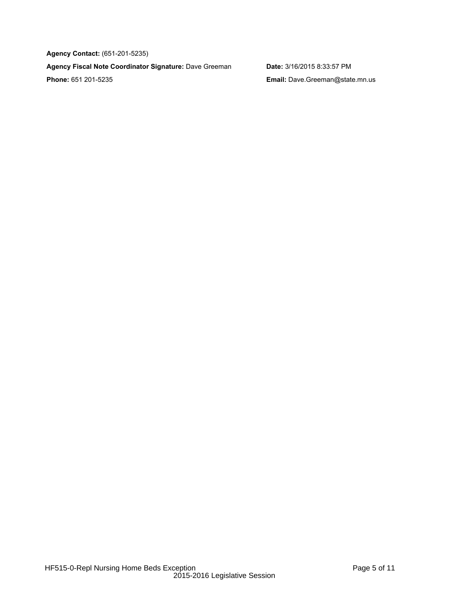**Agency Contact:** (651-201-5235)

**Agency Fiscal Note Coordinator Signature:** Dave Greeman **Date:** 3/16/2015 8:33:57 PM **Phone:** 651 201-5235 **Email:** Dave.Greeman@state.mn.us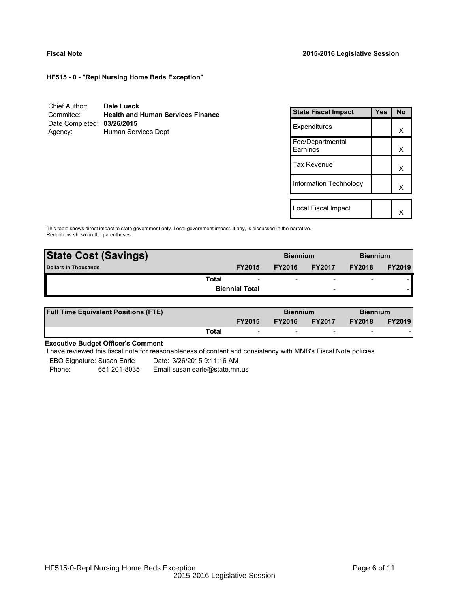**HF515 - 0 - "Repl Nursing Home Beds Exception"**

| Chief Author:              | Dale Lueck                               |
|----------------------------|------------------------------------------|
| Commitee:                  | <b>Health and Human Services Finance</b> |
| Date Completed: 03/26/2015 |                                          |
| Agency:                    | Human Services Dept                      |

| <b>State Fiscal Impact</b>   | Yes | <b>No</b> |
|------------------------------|-----|-----------|
| Expenditures                 |     | x         |
| Fee/Departmental<br>Earnings |     | x         |
| Tax Revenue                  |     | x         |
| Information Technology       |     | x         |
|                              |     |           |
| Local Fiscal Impact          |     |           |

This table shows direct impact to state government only. Local government impact. if any, is discussed in the narrative. Reductions shown in the parentheses.

| <b>State Cost (Savings)</b> |                       | <b>Biennium</b> |               | <b>Biennium</b>          |                |               |
|-----------------------------|-----------------------|-----------------|---------------|--------------------------|----------------|---------------|
| Dollars in Thousands        |                       | <b>FY2015</b>   | <b>FY2016</b> | <b>FY2017</b>            | <b>FY2018</b>  | <b>FY2019</b> |
|                             | Total                 |                 | ۰             | $\overline{\phantom{0}}$ | $\blacksquare$ |               |
|                             | <b>Biennial Total</b> |                 |               | $\overline{\phantom{0}}$ |                |               |

| <b>Full Time Equivalent Positions (FTE)</b> |       |                          | <b>Biennium</b> |                          | <b>Biennium</b> |               |
|---------------------------------------------|-------|--------------------------|-----------------|--------------------------|-----------------|---------------|
|                                             |       | <b>FY2015</b>            | <b>FY2016</b>   | <b>FY2017</b>            | <b>FY2018</b>   | <b>FY2019</b> |
|                                             | Total | $\overline{\phantom{a}}$ | $\sim$          | $\overline{\phantom{a}}$ | $\sim$          |               |

# **Executive Budget Officer's Comment**

-

I have reviewed this fiscal note for reasonableness of content and consistency with MMB's Fiscal Note policies.

EBO Signature: Susan Earle Date: 3/26/2015 9:11:16 AM Phone: 651 201-8035 Email susan.earle@state.mn.us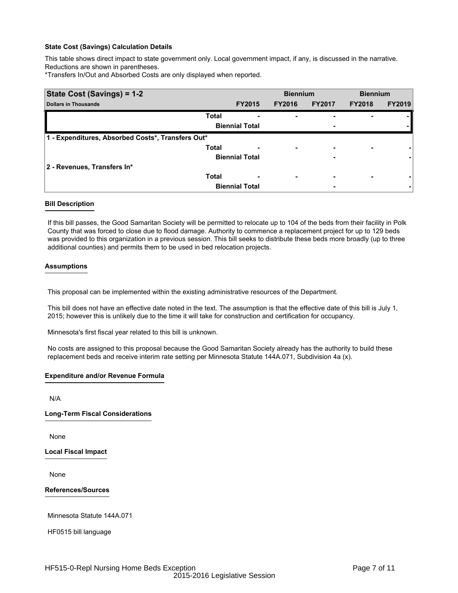This table shows direct impact to state government only. Local government impact, if any, is discussed in the narrative. Reductions are shown in parentheses.

\*Transfers In/Out and Absorbed Costs are only displayed when reported.

| State Cost (Savings) = 1-2                        |                       |               | <b>Biennium</b>          |               | <b>Biennium</b> |               |
|---------------------------------------------------|-----------------------|---------------|--------------------------|---------------|-----------------|---------------|
| <b>Dollars in Thousands</b>                       |                       | <b>FY2015</b> | <b>FY2016</b>            | <b>FY2017</b> | <b>FY2018</b>   | <b>FY2019</b> |
|                                                   | <b>Total</b>          |               | ٠                        |               |                 |               |
|                                                   | <b>Biennial Total</b> |               |                          | ٠             |                 |               |
| 1 - Expenditures, Absorbed Costs*, Transfers Out* |                       |               |                          |               |                 |               |
|                                                   | <b>Total</b>          |               | $\overline{\phantom{0}}$ | -             |                 |               |
|                                                   | <b>Biennial Total</b> |               |                          | -             |                 |               |
| 2 - Revenues, Transfers In*                       |                       |               |                          |               |                 |               |
|                                                   | <b>Total</b>          |               | $\overline{\phantom{0}}$ | ٠             |                 |               |
|                                                   | <b>Biennial Total</b> |               |                          | ٠             |                 |               |

## **Bill Description**

If this bill passes, the Good Samaritan Society will be permitted to relocate up to 104 of the beds from their facility in Polk County that was forced to close due to flood damage. Authority to commence a replacement project for up to 129 beds was provided to this organization in a previous session. This bill seeks to distribute these beds more broadly (up to three additional counties) and permits them to be used in bed relocation projects.

## **Assumptions**

This proposal can be implemented within the existing administrative resources of the Department.

This bill does not have an effective date noted in the text. The assumption is that the effective date of this bill is July 1, 2015; however this is unlikely due to the time it will take for construction and certification for occupancy.

Minnesota's first fiscal year related to this bill is unknown.

No costs are assigned to this proposal because the Good Samaritan Society already has the authority to build these replacement beds and receive interim rate setting per Minnesota Statute 144A.071, Subdivision 4a (x).

## **Expenditure and/or Revenue Formula**

N/A

**Long-Term Fiscal Considerations**

None

**Local Fiscal Impact**

None

**References/Sources**

Minnesota Statute 144A.071

HF0515 bill language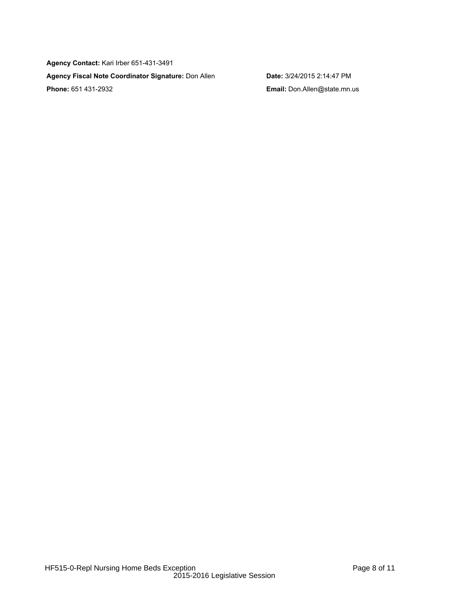**Agency Contact:** Kari Irber 651-431-3491 **Agency Fiscal Note Coordinator Signature:** Don Allen **Date:** 3/24/2015 2:14:47 PM **Phone:** 651 431-2932 **Email:** Don.Allen@state.mn.us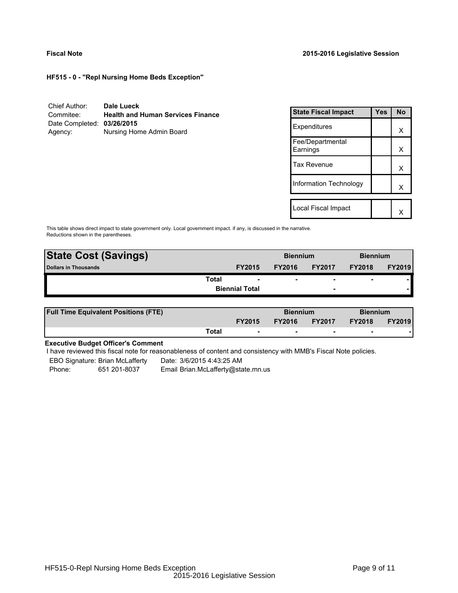**HF515 - 0 - "Repl Nursing Home Beds Exception"**

| Chief Author:              | Dale Lueck                               |
|----------------------------|------------------------------------------|
| Commitee:                  | <b>Health and Human Services Finance</b> |
| Date Completed: 03/26/2015 |                                          |
| Agency:                    | Nursing Home Admin Board                 |

| <b>State Fiscal Impact</b>   | Yes | <b>No</b> |
|------------------------------|-----|-----------|
| Expenditures                 |     | x         |
| Fee/Departmental<br>Earnings |     | x         |
| <b>Tax Revenue</b>           |     | x         |
| Information Technology       |     | x         |
| Local Fiscal Impact          |     |           |

This table shows direct impact to state government only. Local government impact. if any, is discussed in the narrative. Reductions shown in the parentheses.

| <b>State Cost (Savings)</b> |                       |               | <b>Biennium</b> |                          | <b>Biennium</b> |               |
|-----------------------------|-----------------------|---------------|-----------------|--------------------------|-----------------|---------------|
| Dollars in Thousands        |                       | <b>FY2015</b> | <b>FY2016</b>   | <b>FY2017</b>            | <b>FY2018</b>   | <b>FY2019</b> |
|                             | Total                 |               | ۰               | $\overline{\phantom{0}}$ | $\blacksquare$  |               |
|                             | <b>Biennial Total</b> |               |                 | $\overline{\phantom{0}}$ |                 |               |

| <b>Full Time Equivalent Positions (FTE)</b> |       |                          | <b>Biennium</b> |                          | <b>Biennium</b> |               |
|---------------------------------------------|-------|--------------------------|-----------------|--------------------------|-----------------|---------------|
|                                             |       | <b>FY2015</b>            | <b>FY2016</b>   | <b>FY2017</b>            | <b>FY2018</b>   | <b>FY2019</b> |
|                                             | Total | $\overline{\phantom{a}}$ | $\sim$          | $\overline{\phantom{a}}$ | $\sim$          |               |

# **Executive Budget Officer's Comment**

-

I have reviewed this fiscal note for reasonableness of content and consistency with MMB's Fiscal Note policies.

EBO Signature: Brian McLafferty Date: 3/6/2015 4:43:25 AM

Phone: 651 201-8037 Email Brian.McLafferty@state.mn.us